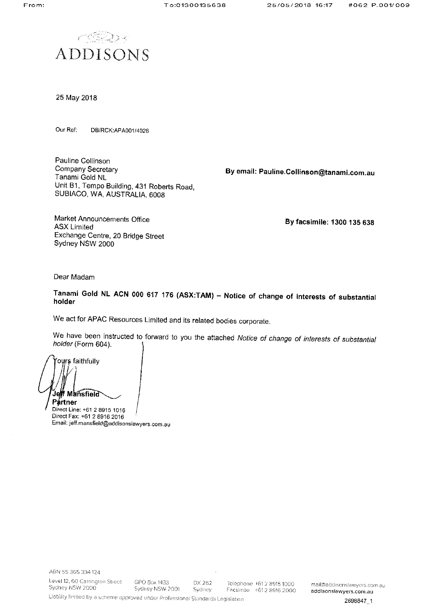

25 May 2018

Our Ref: DB/RCK:APA001/4028

Pauline Collinson Company Secretary Tanami Gold NL Unit B1, Tempo Building, 431 Roberts Road, SUBIACO, WA, AUSTRALIA, 6008

By email: Pauline.Collinson@tanami.com.au

Market Announcements Office **ASX Limited** Exchange Centre, 20 Bridge Street Sydney NSW 2000

By facsimile: 1300 135 638

Dear Madam

Tanami Gold NL ACN 000 617 176 (ASX:TAM) - Notice of change of interests of substantial holder

We act for APAC Resources Limited and its related bodies corporate.

We have been instructed to forward to you the attached Notice of change of interests of substantial holder (Form 604).

ours faithfully Jeff Mansfield Partner Direct Line: +61 2 8915 1016

Direct Fax: +61 2 8916 2016 Email: jeff.mansfield@addisonslawyers.com.au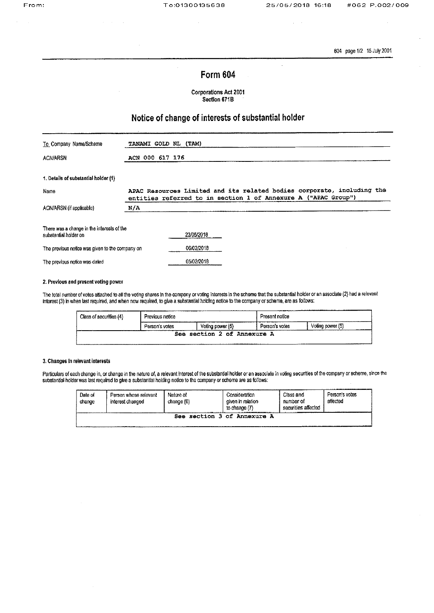$\mathcal{L}$ 

604 page 1/2 15 July 2001

# **Form 604**

**Corporations Act 2001** Section 671B

# Notice of change of interests of substantial holder

| To Company Name/Scheme                                              | TANAMI GOLD NL (TAM)                                                                                                                     |
|---------------------------------------------------------------------|------------------------------------------------------------------------------------------------------------------------------------------|
| ACN/ARSN                                                            | ACN 000 617 176                                                                                                                          |
| 1. Details of substantial holder (1)                                |                                                                                                                                          |
| Name                                                                | APAC Resources Limited and its related bodies corporate, including the<br>entities referred to in section 1 of Annexure A ("APAC Group") |
| ACN/ARSN (if applicable)                                            | N/A                                                                                                                                      |
| There was a change in the interests of the<br>substantial holder on | 23/05/2018                                                                                                                               |
| The previous notice was given to the company on                     | 06/02/2018                                                                                                                               |
| The previous notice was dated                                       | 05/02/2018                                                                                                                               |

### 2. Previous and present voting power

The total number of votes attached to all the voting shares in the company or voting interests in the scheme that the substantial holder or an associate (2) had a relevant interest (3) in when last required, and when now required, to give a substantial holding notice to the company or scheme, are as follows:

| Class of securities (4) | Previous notice                    |  | Present notice |                          |  |
|-------------------------|------------------------------------|--|----------------|--------------------------|--|
|                         | Voting power (5)<br>Person's votes |  | Person's votes | Votina power (5)<br>$ -$ |  |
|                         | section 2 of Annexure A<br>See     |  |                |                          |  |

### 3. Changes in relevant interests

Particulars of each change in, or change in the nature of, a relevant interest of the substantial holder or an associate in voting securities of the company or scheme, since the substantial holder was last required to give a substantial holding notice to the company or scheme are as follows:

| Date of<br>change | Person whose relevant<br>interest changed | Nature of<br>change (6) | Consideration<br>given in relation<br>to change (7) | Class and<br>number of<br>securities affected | Person's votes<br>affected |
|-------------------|-------------------------------------------|-------------------------|-----------------------------------------------------|-----------------------------------------------|----------------------------|
|                   |                                           | See                     | section 3 of Annexure A                             |                                               |                            |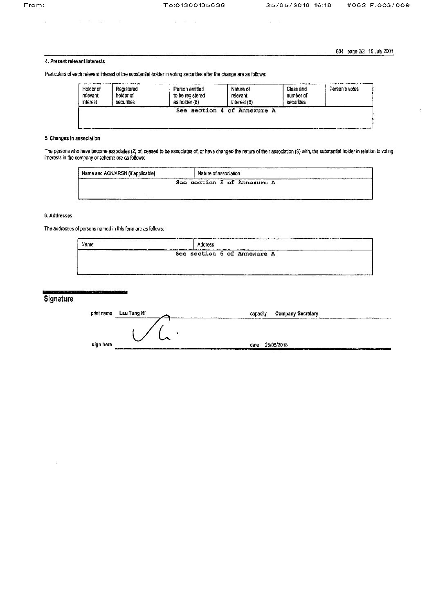$\ddot{\phantom{a}}$ 

 $\sigma_{\rm c}$  ,  $\sigma_{\rm c}$  ,  $\sigma_{\rm c}$ 

Particulars of each relevant interest of the substantial holder in voting securities after the change are as follows:

604 page 2/2 15 July 2001

### 4. Present relevant interests

 $\mathcal{A}=\mathcal{A}^{\dagger}$  , where  $\mathcal{A}^{\dagger}$ 

Person entitled Holder of Registered Class and Person's votes Nature of relevant holder of to be registered number of relevant interest securities securities as holder (8) interest (6) See section 4 of Annexure A

## 5. Changes in association

The persons who have become associates (2) of, ceased to be associates of, or have changed the nature of their association (9) with, the substantial holder in relation to voting interests in the company or scheme are as follows:

| Name and ACN/ARSN (if applicable) | <br>Nature of association   |
|-----------------------------------|-----------------------------|
|                                   | See section 5 of Annexure A |
|                                   |                             |

### 6. Addresses

The addresses of persons named in this form are as follows:

| Name<br>__<br>-------<br> | Address |                             |  |
|---------------------------|---------|-----------------------------|--|
|                           |         | See section 6 of Annexure A |  |
|                           |         |                             |  |

# Signature

| print name | Lau Tung Ni                                                                                                                                                                                                                    | capacity                                |            | <b>Company Secretary</b> |
|------------|--------------------------------------------------------------------------------------------------------------------------------------------------------------------------------------------------------------------------------|-----------------------------------------|------------|--------------------------|
|            |                                                                                                                                                                                                                                | $\bullet$                               |            |                          |
|            |                                                                                                                                                                                                                                |                                         |            |                          |
| sign here  | 20 YO MARKET WAS ARRESTED FOR THE RESIDENCE OF THE RESIDENCE OF THE RESIDENCE OF THE RESIDENCE OF THE RESIDENCE OF THE RESIDENCE OF THE RESIDENCE OF THE RESIDENCE OF THE RESIDENCE OF THE RESIDENCE OF THE RESIDENCE OF THE R | cate<br>All company was a<br>------<br> | 25/05/2018 | ____                     |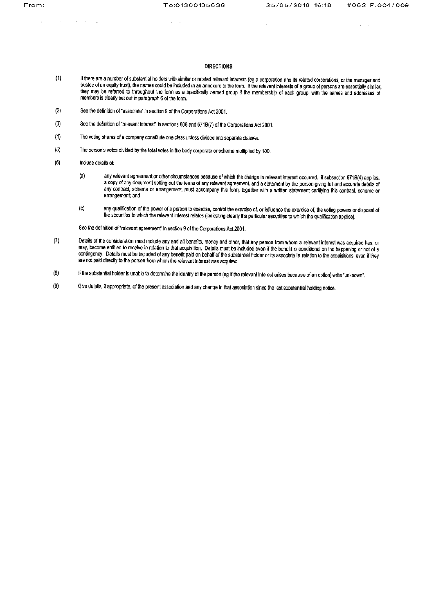$\mathcal{L}$ 

 $\mathcal{A}=\mathcal{A}=\mathcal{A}$  .

 $\alpha$  ,  $\beta$  ,  $\alpha$ 

### **DIRECTIONS**

- $(1)$ If there are a number of substantial holders with similar or related relevant interests (eg a corporation and its related corporations, or the manager and trustee of an equity trust), the names could be included in an annexure to the form. If the relevant interests of a group of persons are essentially similar, they may be referred to throughout the form as a specifically named group if the membership of each group, with the names and addresses of members is clearly set out in paragraph 6 of the form.
- $(2)$ See the definition of "associate" in section 9 of the Corporations Act 2001.
- $(3)$ See the definition of "relevant interest" in sections 608 and 671B(7) of the Corporations Act 2001.
- The voting shares of a company constitute one class unless divided into separate classes.  $(4)$
- The person's votes divided by the total votes in the body corporate or scheme multiplied by 100.  $(5)$
- $(6)$ Include details of:

 $\sim$ 

 $\mathcal{L}_{\rm{max}}$  and  $\mathcal{L}_{\rm{max}}$  and  $\mathcal{L}_{\rm{max}}$  and  $\mathcal{L}_{\rm{max}}$ 

- any relevant agreement or other circumstances because of which the change in relevant interest occurred. If subsection 671B(4) applies,  $(a)$ a copy of any document setting out the terms of any relevant agreement, and a statement by the person giving full and accurate details of any contract, scheme or arrangement, must accompany this form, together with a written statement certifying this contract, scheme or arrangement; and
- any qualification of the power of a person to exercise, control the exercise of, or influence the exercise of, the voting powers or disposal of  $(b)$ the securities to which the relevant interest relates (indicating clearly the particular securities to which the qualification applies).

See the definition of "relevant agreement" in section 9 of the Corporations Act 2001.

- $(7)$ Details of the consideration must include any and all benefits, money and other, that any person from whom a relevant interest was acquired has, or may, become entitled to receive in relation to that acquisition. Details must be included even if the benefit is conditional on the happening or not of a contingency. Details must be included of any benefit paid on behalf of the substantial holder or its associate in relation to the acquisitions, even if they are not paid directly to the person from whom the relevant interest was acquired.
- $(8)$ If the substantial holder is unable to determine the identity of the person (eg if the relevant interest arises because of an option) write "unknown".
- Give details, if appropriate, of the present association and any change in that association since the last substantial holding notice.  $(9)$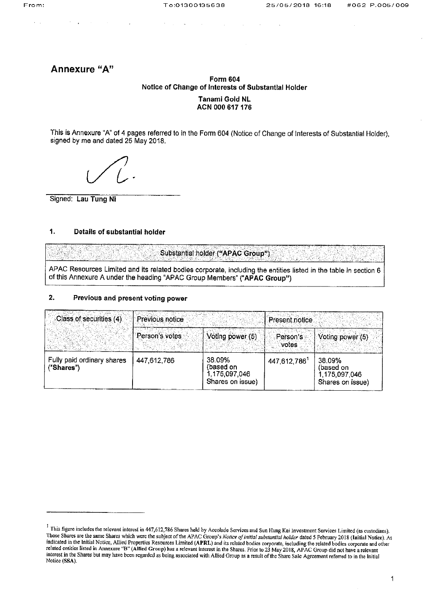Annexure "A"

# **Form 604** Notice of Change of Interests of Substantial Holder

## **Tanami Gold NL** ACN 000 617 176

This is Annexure "A" of 4 pages referred to in the Form 604 (Notice of Change of Interests of Substantial Holder), signed by me and dated 25 May 2018.

Signed: Lau Tung Ni

#### 1. Details of substantial holder

Substantial holder ("APAC Group")

APAC Resources Limited and its related bodies corporate, including the entities listed in the table in section 6 of this Annexure A under the heading "APAC Group Members" ("APAC Group")

#### 2. Previous and present voting power

| Class of securities (4)                  | Previous notice |                                                          | Present notice    |                                                          |
|------------------------------------------|-----------------|----------------------------------------------------------|-------------------|----------------------------------------------------------|
|                                          | Person's votes  | Voting power (5)                                         | Person's<br>votes | Voting power (5)                                         |
| Fully paid ordinary shares<br>("Shares") | 447.612.786     | 38.09%<br>(based on<br>1,175,097,046<br>Shares on issue) | 447, 612, 786     | 38.09%<br>(based on<br>1,175,097,046<br>Shares on issue) |

<sup>&</sup>lt;sup>1</sup> This figure includes the relevant interest in 447,612,786 Shares held by Accolade Services and Sun Hung Kai Investment Services Limited (as custodians). Those Shares are the same Shares which were the subject of the APAC Group's Notice of initial substantial holder dated 5 February 2018 (Initial Notice). As indicated in the Initial Notice, Allied Properties Resources Limit related entities listed in Annexure "B" (Allied Group) has a relevant interest in the Shares. Prior to 23 May 2018, APAC Group did not have a relevant<br>interest in the Shares but may have been regarded as being associated w Notice (SSA).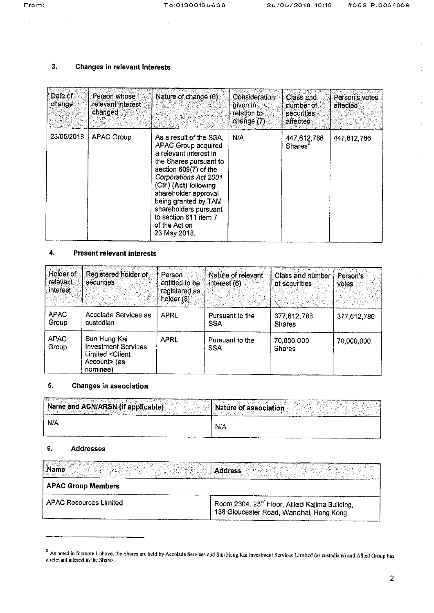$\omega_{\rm c}$  ,  $\omega$ 

 $\alpha = \alpha$ 

#### $3.$ Changes in relevant interests

| Date of<br>change | Person whose<br>relevant interest<br>changed | Nature of change (6)                                                                                                                                                                                                                                                                                             | Consideration<br>given in<br>relation to<br>change (7) | Class and<br>number of<br>securities<br>affected | Person's votes<br>affected |
|-------------------|----------------------------------------------|------------------------------------------------------------------------------------------------------------------------------------------------------------------------------------------------------------------------------------------------------------------------------------------------------------------|--------------------------------------------------------|--------------------------------------------------|----------------------------|
| 23/05/2018        | <b>APAC Group</b>                            | As a result of the SSA.<br>APAC Group acquired<br>a relevant interest in<br>the Shares pursuant to<br>section 609(7) of the<br>Corporations Act 2001<br>(Cth) (Act) following<br>shareholder approval<br>being granted by TAM<br>shareholders pursuant<br>to section 611 item 7<br>of the Act on<br>23 May 2018. | N/A                                                    | 447,612,786<br>Shares <sup>2</sup>               | 447,612,786                |

### 4. Present relevant interests

| Holder of<br>relevant<br>interest. | Registered holder of<br>securities                                                                        | Person<br>entitled to be<br>registered as<br>holder (8) | Nature of relevant<br>interest $(6)$ | Class and number<br>of securities | Person's<br>votes. |
|------------------------------------|-----------------------------------------------------------------------------------------------------------|---------------------------------------------------------|--------------------------------------|-----------------------------------|--------------------|
| <b>APAC</b><br>Group               | Accolade Services as<br>custodian                                                                         | <b>APRL</b>                                             | Pursuant to the<br><b>SSA</b>        | 377,612,786<br><b>Shares</b>      | 377,612,786        |
| <b>APAC</b><br>Group               | Sun Hung Kai<br><b>Investment Services</b><br>Limited <client<br>Account&gt; (as<br/>nominee)</client<br> | APRL                                                    | Pursuant to the<br><b>SSA</b>        | 70,000,000<br><b>Shares</b>       | 70,000,000         |

#### 5. **Changes in association**

| N/A                               | <b>N/A</b>            |
|-----------------------------------|-----------------------|
| Name and ACN/ARSN (if applicable) | Nature of association |

#### $6.$ **Addresses**

| Name                          | <b>Address</b>                                                                                        |
|-------------------------------|-------------------------------------------------------------------------------------------------------|
| <b>APAC Group Members</b>     |                                                                                                       |
| <b>APAC Resources Limited</b> | Room 2304, 23 <sup>rd</sup> Floor, Allied Kajima Building,<br>138 Gloucester Road, Wanchai, Hong Kong |

<sup>&</sup>lt;sup>2</sup> As noted in footnote 1 above, the Shares are held by Accolade Services and Sun Hung Kai Investment Services Limited (as custodians) and Allied Group has a relevant interest in the Shares.

 $\sim$ 

 $\mathcal{L}(\mathcal{A})=\mathcal{L}(\mathcal{A})$  ,  $\mathcal{L}(\mathcal{A})$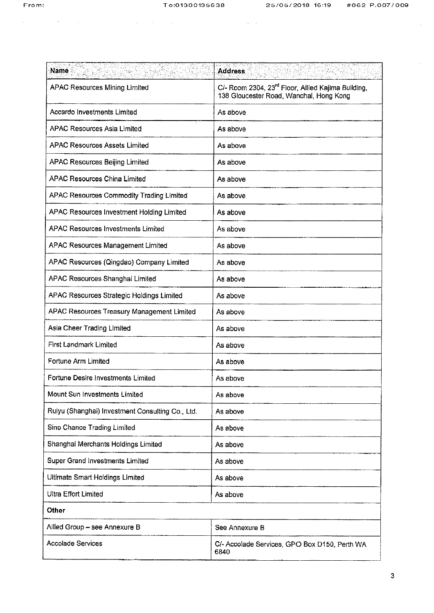$\mathcal{A}^{\mathcal{A}}$  , and the set of the set of the set of the set of the set of the set of the set of the set of the set of the set of the set of the set of the set of the set of the set of the set of the set of the set of t

 $\mathcal{L}^{\text{max}}_{\text{max}}$  and  $\mathcal{L}^{\text{max}}_{\text{max}}$ 

| <b>Name</b>                                      | <b>Address</b>                                                                                            |
|--------------------------------------------------|-----------------------------------------------------------------------------------------------------------|
| <b>APAC Resources Mining Limited</b>             | C/- Room 2304, 23 <sup>rd</sup> Floor, Allied Kajima Building,<br>138 Gloucester Road, Wanchai, Hong Kong |
| Accardo Investments Limited                      | As above                                                                                                  |
| <b>APAC Resources Asia Limited</b>               | As above                                                                                                  |
| <b>APAC Resources Assets Limited</b>             | As above                                                                                                  |
| <b>APAC Resources Beijing Limited</b>            | As above                                                                                                  |
| <b>APAC Resources China Limited</b>              | As above                                                                                                  |
| APAC Resources Commodity Trading Limited         | As above                                                                                                  |
| APAC Resources Investment Holding Limited        | As above                                                                                                  |
| <b>APAC Resources Investments Limited</b>        | As above                                                                                                  |
| <b>APAC Resources Management Limited</b>         | As above                                                                                                  |
| APAC Resources (Qingdao) Company Limited         | As above                                                                                                  |
| APAC Resources Shanghai Limited                  | As above                                                                                                  |
| APAC Resources Strategic Holdings Limited        | As above                                                                                                  |
| APAC Resources Treasury Management Limited       | As above                                                                                                  |
| Asia Cheer Trading Limited                       | As above                                                                                                  |
| First Landmark Limited                           | As above                                                                                                  |
| Fortune Arm Limited                              | As above                                                                                                  |
| Fortune Desire Investments Limited               | As above                                                                                                  |
| Mount Sun Investments Limited                    | As above                                                                                                  |
| Ruiyu (Shanghai) Investment Consulting Co., Ltd. | As above                                                                                                  |
| Sino Chance Trading Limited                      | As above                                                                                                  |
| Shanghai Merchants Holdings Limited              | As above                                                                                                  |
| Super Grand Investments Limited                  | As above                                                                                                  |
| Ultimate Smart Holdings Limited                  | As above                                                                                                  |
| <b>Ultra Effort Limited</b>                      | As above                                                                                                  |
| Other                                            |                                                                                                           |
| Allied Group - see Annexure B                    | See Annexure B                                                                                            |
| <b>Accolade Services</b>                         | C/- Accolade Services, GPO Box D150, Perth WA<br>6840                                                     |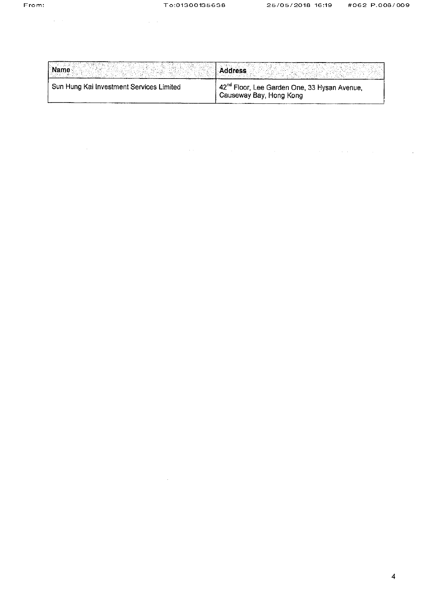$\mathcal{L}_{\text{max}}$  , where  $\mathcal{L}_{\text{max}}$  ,  $\mathcal{L}_{\text{max}}$ 

 $\label{eq:2.1} \frac{1}{\sqrt{2}}\left(\frac{1}{\sqrt{2}}\right)^{2} \left(\frac{1}{\sqrt{2}}\right)^{2} \left(\frac{1}{\sqrt{2}}\right)^{2} \left(\frac{1}{\sqrt{2}}\right)^{2} \left(\frac{1}{\sqrt{2}}\right)^{2} \left(\frac{1}{\sqrt{2}}\right)^{2} \left(\frac{1}{\sqrt{2}}\right)^{2} \left(\frac{1}{\sqrt{2}}\right)^{2} \left(\frac{1}{\sqrt{2}}\right)^{2} \left(\frac{1}{\sqrt{2}}\right)^{2} \left(\frac{1}{\sqrt{2}}\right)^{2} \left(\$ 

 $\mathcal{L}_{\text{max}}$  and  $\mathcal{L}_{\text{max}}$ 

 $\mathcal{L}(\mathcal{L}(\mathcal{L}))$  is the set of the set of the set of the set of the set of the set of the set of the set of the set

| <b>Name</b>                              | <b>\ddress</b>                                                                      |
|------------------------------------------|-------------------------------------------------------------------------------------|
| Sun Hung Kai Investment Services Limited | 42 <sup>nd</sup> Floor, Lee Garden One, 33 Hysan Avenue,<br>Causeway Bay, Hong Kong |